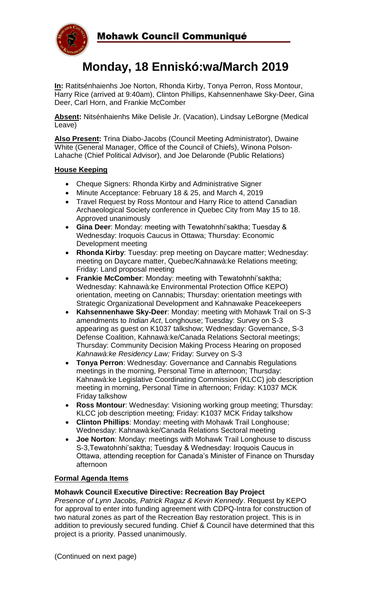

# **Monday, 18 Enniskó:wa/March 2019**

**In:** Ratitsénhaienhs Joe Norton, Rhonda Kirby, Tonya Perron, Ross Montour, Harry Rice (arrived at 9:40am), Clinton Phillips, Kahsennenhawe Sky-Deer, Gina Deer, Carl Horn, and Frankie McComber

**Absent:** Nitsénhaienhs Mike Delisle Jr. (Vacation), Lindsay LeBorgne (Medical Leave)

**Also Present:** Trina Diabo-Jacobs (Council Meeting Administrator), Dwaine White (General Manager, Office of the Council of Chiefs), Winona Polson-Lahache (Chief Political Advisor), and Joe Delaronde (Public Relations)

# **House Keeping**

- Cheque Signers: Rhonda Kirby and Administrative Signer
- Minute Acceptance: February 18 & 25, and March 4, 2019
- Travel Request by Ross Montour and Harry Rice to attend Canadian Archaeological Society conference in Quebec City from May 15 to 18. Approved unanimously
- **Gina Deer**: Monday: meeting with Tewatohnhi'saktha; Tuesday & Wednesday: Iroquois Caucus in Ottawa; Thursday: Economic Development meeting
- **Rhonda Kirby**: Tuesday: prep meeting on Daycare matter; Wednesday: meeting on Daycare matter, Quebec/Kahnawà:ke Relations meeting; Friday: Land proposal meeting
- **Frankie McComber**: Monday: meeting with Tewatohnhi'saktha; Wednesday: Kahnawà:ke Environmental Protection Office KEPO) orientation, meeting on Cannabis; Thursday: orientation meetings with Strategic Organizational Development and Kahnawake Peacekeepers
- **Kahsennenhawe Sky-Deer**: Monday: meeting with Mohawk Trail on S-3 amendments to *Indian Act*, Longhouse; Tuesday: Survey on S-3 appearing as guest on K1037 talkshow; Wednesday: Governance, S-3 Defense Coalition, Kahnawà:ke/Canada Relations Sectoral meetings; Thursday: Community Decision Making Process Hearing on proposed *Kahnawà:ke Residency Law;* Friday: Survey on S-3
- **Tonya Perron**: Wednesday: Governance and Cannabis Regulations meetings in the morning, Personal Time in afternoon; Thursday: Kahnawà:ke Legislative Coordinating Commission (KLCC) job description meeting in morning, Personal Time in afternoon; Friday: K1037 MCK Friday talkshow
- **Ross Montour**: Wednesday: Visioning working group meeting; Thursday: KLCC job description meeting; Friday: K1037 MCK Friday talkshow
- **Clinton Phillips**: Monday: meeting with Mohawk Trail Longhouse; Wednesday: Kahnawà:ke/Canada Relations Sectoral meeting
- **Joe Norton**: Monday: meetings with Mohawk Trail Longhouse to discuss S-3,Tewatohnhi'saktha; Tuesday & Wednesday: Iroquois Caucus in Ottawa, attending reception for Canada's Minister of Finance on Thursday afternoon

## **Formal Agenda Items**

## **Mohawk Council Executive Directive: Recreation Bay Project**

*Presence of Lynn Jacobs, Patrick Ragaz & Kevin Kennedy*. Request by KEPO for approval to enter into funding agreement with CDPQ-Intra for construction of two natural zones as part of the Recreation Bay restoration project. This is in addition to previously secured funding. Chief & Council have determined that this project is a priority. Passed unanimously.

(Continued on next page)